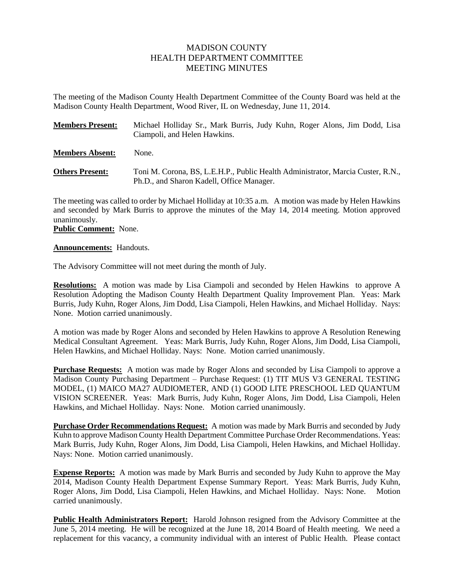## MADISON COUNTY HEALTH DEPARTMENT COMMITTEE MEETING MINUTES

The meeting of the Madison County Health Department Committee of the County Board was held at the Madison County Health Department, Wood River, IL on Wednesday, June 11, 2014.

| <b>Members Present:</b> | Michael Holliday Sr., Mark Burris, Judy Kuhn, Roger Alons, Jim Dodd, Lisa<br>Ciampoli, and Helen Hawkins.                    |
|-------------------------|------------------------------------------------------------------------------------------------------------------------------|
| <b>Members Absent:</b>  | None.                                                                                                                        |
| <b>Others Present:</b>  | Toni M. Corona, BS, L.E.H.P., Public Health Administrator, Marcia Custer, R.N.,<br>Ph.D., and Sharon Kadell, Office Manager. |

The meeting was called to order by Michael Holliday at 10:35 a.m. A motion was made by Helen Hawkins and seconded by Mark Burris to approve the minutes of the May 14, 2014 meeting. Motion approved unanimously.

**Public Comment:** None.

## **Announcements:** Handouts.

The Advisory Committee will not meet during the month of July.

**Resolutions:** A motion was made by Lisa Ciampoli and seconded by Helen Hawkins to approve A Resolution Adopting the Madison County Health Department Quality Improvement Plan. Yeas: Mark Burris, Judy Kuhn, Roger Alons, Jim Dodd, Lisa Ciampoli, Helen Hawkins, and Michael Holliday. Nays: None. Motion carried unanimously.

A motion was made by Roger Alons and seconded by Helen Hawkins to approve A Resolution Renewing Medical Consultant Agreement. Yeas: Mark Burris, Judy Kuhn, Roger Alons, Jim Dodd, Lisa Ciampoli, Helen Hawkins, and Michael Holliday. Nays: None. Motion carried unanimously.

**Purchase Requests:** A motion was made by Roger Alons and seconded by Lisa Ciampoli to approve a Madison County Purchasing Department – Purchase Request: (1) TIT MUS V3 GENERAL TESTING MODEL, (1) MAICO MA27 AUDIOMETER, AND (1) GOOD LITE PRESCHOOL LED QUANTUM VISION SCREENER. Yeas: Mark Burris, Judy Kuhn, Roger Alons, Jim Dodd, Lisa Ciampoli, Helen Hawkins, and Michael Holliday. Nays: None. Motion carried unanimously.

**Purchase Order Recommendations Request:** A motion was made by Mark Burris and seconded by Judy Kuhn to approve Madison County Health Department Committee Purchase Order Recommendations. Yeas: Mark Burris, Judy Kuhn, Roger Alons, Jim Dodd, Lisa Ciampoli, Helen Hawkins, and Michael Holliday. Nays: None. Motion carried unanimously.

**Expense Reports:** A motion was made by Mark Burris and seconded by Judy Kuhn to approve the May 2014, Madison County Health Department Expense Summary Report. Yeas: Mark Burris, Judy Kuhn, Roger Alons, Jim Dodd, Lisa Ciampoli, Helen Hawkins, and Michael Holliday. Nays: None. Motion carried unanimously.

**Public Health Administrators Report:** Harold Johnson resigned from the Advisory Committee at the June 5, 2014 meeting. He will be recognized at the June 18, 2014 Board of Health meeting. We need a replacement for this vacancy, a community individual with an interest of Public Health. Please contact